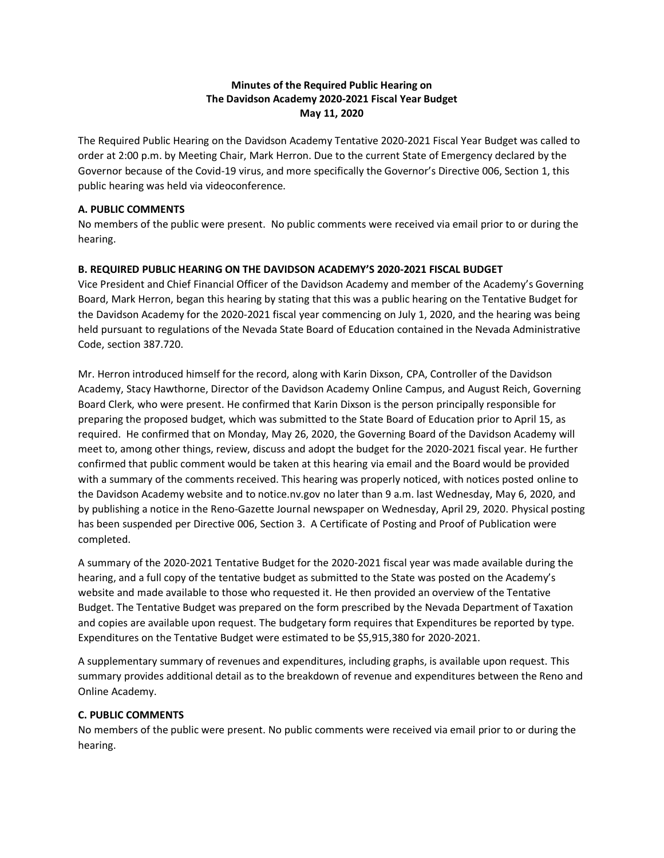## **Minutes of the Required Public Hearing on The Davidson Academy 2020-2021 Fiscal Year Budget May 11, 2020**

The Required Public Hearing on the Davidson Academy Tentative 2020-2021 Fiscal Year Budget was called to order at 2:00 p.m. by Meeting Chair, Mark Herron. Due to the current State of Emergency declared by the Governor because of the Covid-19 virus, and more specifically the Governor's Directive 006, Section 1, this public hearing was held via videoconference.

#### **A. PUBLIC COMMENTS**

No members of the public were present. No public comments were received via email prior to or during the hearing.

### **B. REQUIRED PUBLIC HEARING ON THE DAVIDSON ACADEMY'S 2020-2021 FISCAL BUDGET**

Vice President and Chief Financial Officer of the Davidson Academy and member of the Academy's Governing Board, Mark Herron, began this hearing by stating that this was a public hearing on the Tentative Budget for the Davidson Academy for the 2020-2021 fiscal year commencing on July 1, 2020, and the hearing was being held pursuant to regulations of the Nevada State Board of Education contained in the Nevada Administrative Code, section 387.720.

Mr. Herron introduced himself for the record, along with Karin Dixson, CPA, Controller of the Davidson Academy, Stacy Hawthorne, Director of the Davidson Academy Online Campus, and August Reich, Governing Board Clerk, who were present. He confirmed that Karin Dixson is the person principally responsible for preparing the proposed budget, which was submitted to the State Board of Education prior to April 15, as required. He confirmed that on Monday, May 26, 2020, the Governing Board of the Davidson Academy will meet to, among other things, review, discuss and adopt the budget for the 2020-2021 fiscal year. He further confirmed that public comment would be taken at this hearing via email and the Board would be provided with a summary of the comments received. This hearing was properly noticed, with notices posted online to the Davidson Academy website and to notice.nv.gov no later than 9 a.m. last Wednesday, May 6, 2020, and by publishing a notice in the Reno-Gazette Journal newspaper on Wednesday, April 29, 2020. Physical posting has been suspended per Directive 006, Section 3. A Certificate of Posting and Proof of Publication were completed.

A summary of the 2020-2021 Tentative Budget for the 2020-2021 fiscal year was made available during the hearing, and a full copy of the tentative budget as submitted to the State was posted on the Academy's website and made available to those who requested it. He then provided an overview of the Tentative Budget. The Tentative Budget was prepared on the form prescribed by the Nevada Department of Taxation and copies are available upon request. The budgetary form requires that Expenditures be reported by type. Expenditures on the Tentative Budget were estimated to be \$5,915,380 for 2020-2021.

A supplementary summary of revenues and expenditures, including graphs, is available upon request. This summary provides additional detail as to the breakdown of revenue and expenditures between the Reno and Online Academy.

### **C. PUBLIC COMMENTS**

No members of the public were present. No public comments were received via email prior to or during the hearing.